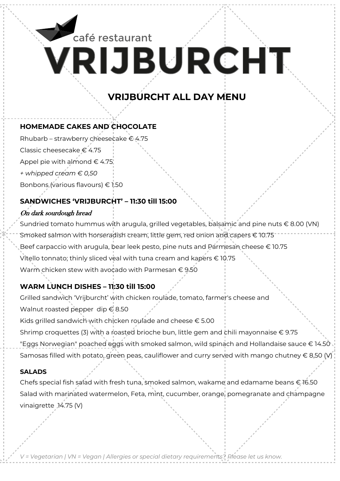# **VRIJBURCHT** café restaurant

### **VRIJBURCHT ALL DAY MENU**

### **HOMEMADE CAKES AND CHOCOLATE**

Rhubarb – strawberry cheesecake € 4.75

Classic cheesecake € 4.75

Appel pie with almond  $\in$  4.75

*+ whipped cream € 0,50*

Bonbons (various flavours) € 1.50

### **SANDWICHES 'VRIJBURCHT' – 11:30 till 15:00**

### On dark sourdough bread

Sundried tomato hummus with arugula, grilled vegetables, balsamic and pine nuts € 8.00 (VN) Smoked salmon with horseradish cream, little gem, red onion and capers € 10.75 Beef carpaccio with arugula, bear leek pesto, pine nuts and Parmesan cheese € 10.75 Vitello tonnato; thinly sliced veal with tuna cream and kapers € 10.75 Warm chicken stew with avocado with Parmesan € 9.50

### **WARM LUNCH DISHES – 11:30 till 15:00**

Grilled sandwich 'Vrijburcht' with chicken roulade, tomato, farmer's cheese and

Walnut roasted pepper dip € 8.50

Kids grilled sandwich with chicken roulade and cheese  $\epsilon$  5.00

Shrimp croquettes (3) with a roasted brioche bun, little gem and chili mayonnaise  $\epsilon$  9.75 "Eggs Norwegian" poached eggs with smoked salmon, wild spinach and Hollandaise sauce € 14.50

Samosas filled with potato, green peas, cauliflower and curry served with mango chutney  $\in$  8,50 (V)

#### **SALADS**

Chefs special fish salad with fresh tuna, smoked salmon, wakame and edamame beans € 16.50 Salad with marinated watermelon, Feta, mint, cucumber, orange, pomegranate and champagne vinaigrette 14.75 (V)

*V = Vegetarian | VN = Vegan | Allergies or special dietary requirements? Please let us know.*